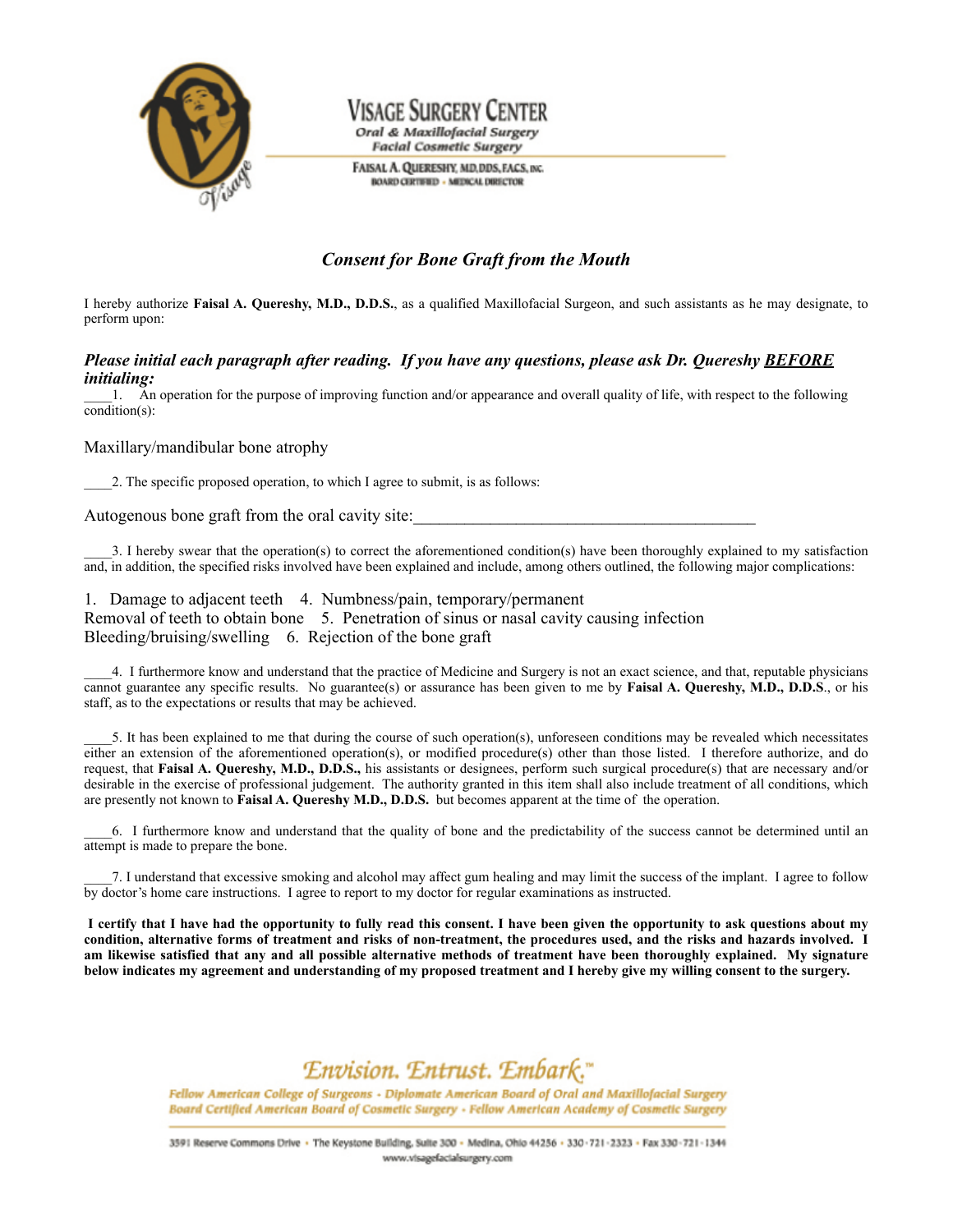

## Visage Surgery Ce Oral & Maxillofacial Surgery

**Facial Cosmetic Surgery** 

FAISAL A. QUERESHY, MD, DDS, FACS, INC. **BOARD CERTIFIED - MEDICAL DIRECTOR** 

### *Consent for Bone Graft from the Mouth*

I hereby authorize **Faisal A. Quereshy, M.D., D.D.S.**, as a qualified Maxillofacial Surgeon, and such assistants as he may designate, to perform upon:

#### *Please initial each paragraph after reading. If you have any questions, please ask Dr. Quereshy BEFORE initialing:*

\_\_\_\_1. An operation for the purpose of improving function and/or appearance and overall quality of life, with respect to the following condition(s):

#### Maxillary/mandibular bone atrophy

2. The specific proposed operation, to which I agree to submit, is as follows:

Autogenous bone graft from the oral cavity site:

\_\_\_\_3. I hereby swear that the operation(s) to correct the aforementioned condition(s) have been thoroughly explained to my satisfaction and, in addition, the specified risks involved have been explained and include, among others outlined, the following major complications:

1. Damage to adjacent teeth 4. Numbness/pain, temporary/permanent Removal of teeth to obtain bone 5. Penetration of sinus or nasal cavity causing infection Bleeding/bruising/swelling 6. Rejection of the bone graft

\_\_\_\_4. I furthermore know and understand that the practice of Medicine and Surgery is not an exact science, and that, reputable physicians cannot guarantee any specific results. No guarantee(s) or assurance has been given to me by **Faisal A. Quereshy, M.D., D.D.S**., or his staff, as to the expectations or results that may be achieved.

5. It has been explained to me that during the course of such operation(s), unforeseen conditions may be revealed which necessitates either an extension of the aforementioned operation(s), or modified procedure(s) other than those listed. I therefore authorize, and do request, that **Faisal A. Quereshy, M.D., D.D.S.,** his assistants or designees, perform such surgical procedure(s) that are necessary and/or desirable in the exercise of professional judgement. The authority granted in this item shall also include treatment of all conditions, which are presently not known to **Faisal A. Quereshy M.D., D.D.S.** but becomes apparent at the time of the operation.

\_\_\_\_6. I furthermore know and understand that the quality of bone and the predictability of the success cannot be determined until an attempt is made to prepare the bone.

\_\_\_\_7. I understand that excessive smoking and alcohol may affect gum healing and may limit the success of the implant. I agree to follow by doctor's home care instructions. I agree to report to my doctor for regular examinations as instructed.

I certify that I have had the opportunity to fully read this consent. I have been given the opportunity to ask questions about my condition, alternative forms of treatment and risks of non-treatment, the procedures used, and the risks and hazards involved. I am likewise satisfied that any and all possible alternative methods of treatment have been thoroughly explained. My signature below indicates my agreement and understanding of my proposed treatment and I hereby give my willing consent to the surgery.

# Envision. Entrust. Embark."

Fellow American College of Surgeons - Diplomate American Board of Oral and Maxillofacial Surgery Board Certified American Board of Cosmetic Surgery - Fellow American Academy of Cosmetic Surgery

3591 Reserve Commons Drive . The Keystone Building, Suite 300 - Medina, Ohio 44256 - 330-721-2323 - Fax 330-721-1344 www.visagefacialsurgery.com